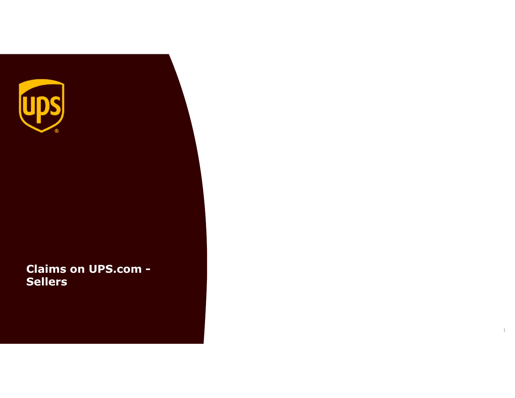

Claims on UPS.com - Sellers

1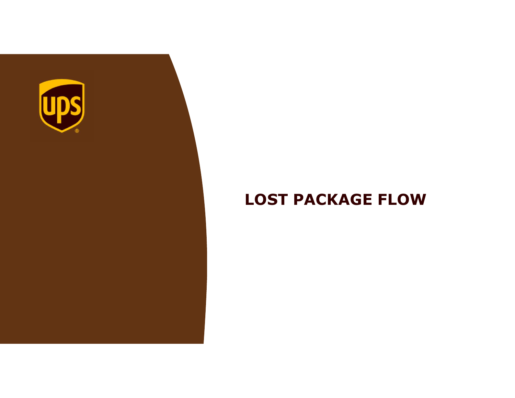

# LOST PACKAGE FLOW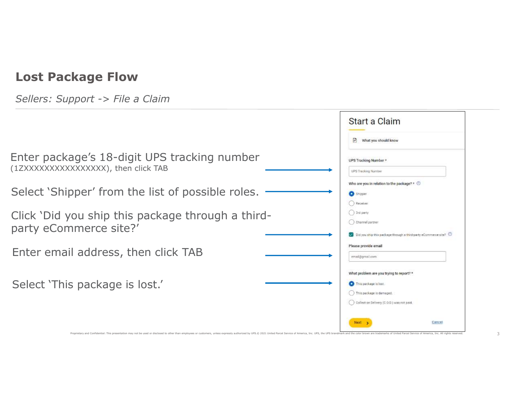|                                                                                     | Start a Claim                                                                                                                                    |
|-------------------------------------------------------------------------------------|--------------------------------------------------------------------------------------------------------------------------------------------------|
|                                                                                     | F<br>What you should know                                                                                                                        |
| Enter package's 18-digit UPS tracking number<br>(1ZXXXXXXXXXXXXXXX), then click TAB | UPS Tracking Number *<br><b>UPS Tracking Number</b>                                                                                              |
| Select 'Shipper' from the list of possible roles.                                   | Who are you in relation to the package? * $\odot$<br>Shipper<br>Receiver                                                                         |
| Click 'Did you ship this package through a third-<br>party eCommerce site?'         | () 3rd party<br>Channel partner<br>Did you ship this package through a third-party eCommerce site?                                               |
| Enter email address, then click TAB                                                 | Please provide email<br>email@gmail.com                                                                                                          |
| Select 'This package is lost.'                                                      | What problem are you trying to report? *<br>This package is lost.<br>() This package is damaged.<br>C Collect on Delivery (C.O.D.) was not paid. |
|                                                                                     | Next 1<br>Cancel                                                                                                                                 |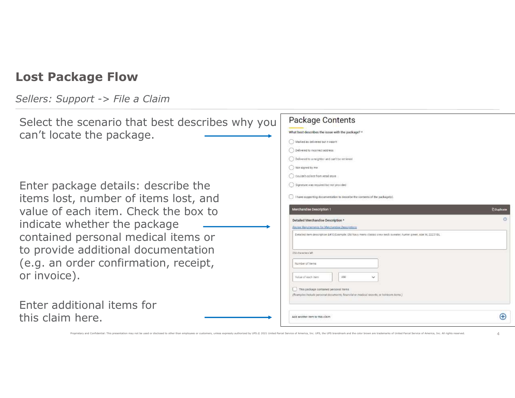| Select the scenario that best describes why you                                                                                                                                                                                | Package Contents                                                                                                                 |                                  |
|--------------------------------------------------------------------------------------------------------------------------------------------------------------------------------------------------------------------------------|----------------------------------------------------------------------------------------------------------------------------------|----------------------------------|
|                                                                                                                                                                                                                                | What best describes the issue with the package? *                                                                                |                                  |
| can't locate the package.                                                                                                                                                                                                      | Marked as delivered but it wasn't                                                                                                |                                  |
|                                                                                                                                                                                                                                | Delivered to incorrect address                                                                                                   |                                  |
|                                                                                                                                                                                                                                | Delivered to a reighbor and pan't be remieved.                                                                                   |                                  |
|                                                                                                                                                                                                                                | Not signed by me                                                                                                                 |                                  |
|                                                                                                                                                                                                                                | C Couldn't collect from retail store                                                                                             |                                  |
| Enter package details: describe the                                                                                                                                                                                            | Signature was required but not provided                                                                                          |                                  |
| items lost, number of items lost, and                                                                                                                                                                                          | I have aupporting documentation to describe the contents of the packageto).                                                      |                                  |
| value of each item. Check the box to                                                                                                                                                                                           | ferchandise Description 1                                                                                                        | <b><i><u>C Duplicate</u></i></b> |
| indicate whether the package                                                                                                                                                                                                   | Detailed Merchandise Description *<br>Review Requirements for Merchandise Description                                            |                                  |
| contained personal medical items or                                                                                                                                                                                            | Detailed item description  Example: Old Navy mens classic crew neck sweater, hunter green, size M, 22231BL                       |                                  |
| to provide additional documentation                                                                                                                                                                                            | Nel anematic 653                                                                                                                 |                                  |
| (e.g. an order confirmation, receipt,                                                                                                                                                                                          | Number of Items                                                                                                                  |                                  |
|                                                                                                                                                                                                                                |                                                                                                                                  |                                  |
| or invoice).                                                                                                                                                                                                                   | USC<br>Value of each item                                                                                                        |                                  |
|                                                                                                                                                                                                                                | This package contained personal items<br>(Examptes Indiude personal documents, financial or medical records, or heiricom items ) |                                  |
|                                                                                                                                                                                                                                |                                                                                                                                  |                                  |
| Enter additional items for                                                                                                                                                                                                     |                                                                                                                                  |                                  |
| this claim here.                                                                                                                                                                                                               | Add another bem to this claim                                                                                                    | $\bigoplus$                      |
|                                                                                                                                                                                                                                |                                                                                                                                  |                                  |
| Proprietary and Confidential: This presentation may not be used or disclosed to other than employees or customers, unless expressly authorized by UPS.© 2021 United Parcel Service of America, Inc. UPS, the UPS brandmark and |                                                                                                                                  |                                  |
|                                                                                                                                                                                                                                |                                                                                                                                  |                                  |
|                                                                                                                                                                                                                                |                                                                                                                                  |                                  |
|                                                                                                                                                                                                                                |                                                                                                                                  |                                  |
|                                                                                                                                                                                                                                |                                                                                                                                  |                                  |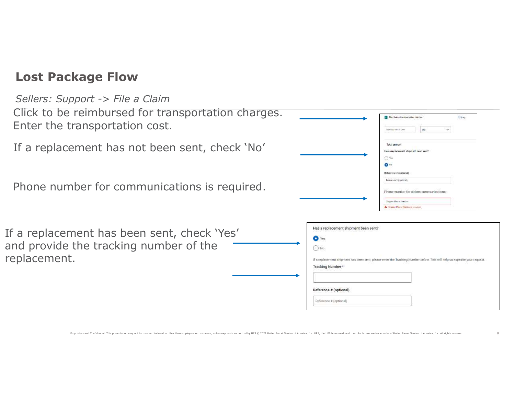#### Sellers: Support -> File a Claim

Click to be reimbursed for transportation charges. Enter the transportation cost.

If a replacement has not been sent, check 'No'

Phone number for communications is required.

If a replacement has been sent, check 'Yes' and provide the tracking number of the replacement.

| reimbursed for transportation charges.<br>ransportation cost.                                                                                                                                                                  |                                                                                                  | Reinfalme transportation change<br><b><i><u>Dies</u></i></b><br>Tramasor Salatan Court                                                                |
|--------------------------------------------------------------------------------------------------------------------------------------------------------------------------------------------------------------------------------|--------------------------------------------------------------------------------------------------|-------------------------------------------------------------------------------------------------------------------------------------------------------|
| ement has not been sent, check 'No'                                                                                                                                                                                            |                                                                                                  | Total amount<br>Has a replacement shipment been sent?<br>$\bigcirc$ Yes<br>O <sup>N</sup>                                                             |
| ober for communications is required.                                                                                                                                                                                           |                                                                                                  | Reference # (optunal)<br>Reference # (optional)<br>Phone number for claims communications:<br>Shipper Phone Number<br>A Shqipe Plane Wathers (spaning |
| nent has been sent, check 'Yes'<br>the tracking number of the<br>a a                                                                                                                                                           | Has a replacement shipment been sent?<br>O Yes<br>$\langle \cdot \rangle$ No<br>Tracking Number* | If a replacement shipment has been sent, please enter the Tracking Number below. This will help us expedite your request.                             |
|                                                                                                                                                                                                                                | Reference # (optional)<br>Reference # (optional)                                                 |                                                                                                                                                       |
| Proprietary and Confidential: This presentation may not be used or disclosed to other than employees or customers, unless expressly authorized by UPS.@ 2021 United Parcel Service of America, Inc. UPS, the UPS brandmark and |                                                                                                  |                                                                                                                                                       |
|                                                                                                                                                                                                                                |                                                                                                  |                                                                                                                                                       |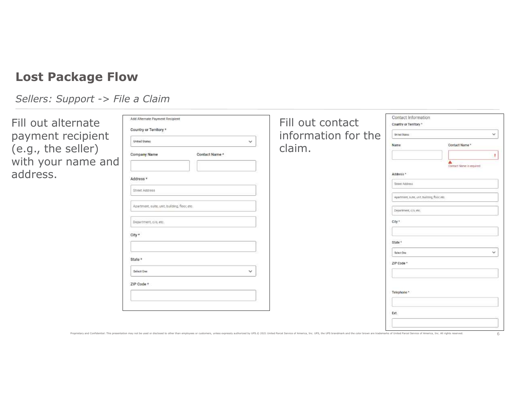| Fill out alternate | Add Alternate Payment Recipient |
|--------------------|---------------------------------|
| payment recipient  | Country or Territory *          |
| (e.g., the seller) | Company Name                    |
| with your name and |                                 |
| address.           | Address                         |

| Country or Territory *<br>information for the<br>ecipient<br>Unhad States<br>v<br>United States<br>$\checkmark$<br>Name<br>Contact Name*<br>eller)<br>claim.<br>Company Name<br>Contact Name *<br>ame and<br>A<br>Contact Name in required<br>Address *<br>Address *<br>Street Address<br>Street Address<br>Apartment, suite, unit, building, floor, etc.<br>Apartment, suite, unit, building, floor, etc.<br>Department, c/o, etc.<br>City *<br>Department, c/o, etc.<br>City *<br>State *<br>v<br>Select One<br>State *<br>ZIP Code *<br>Select One<br>$\checkmark$<br>ZIP Code *<br>Telephone*<br>Ext. | rnate | Add Alternate Payment Recipient |  | Fill out contact | Contact Information<br>Country or Territory * |  |
|-----------------------------------------------------------------------------------------------------------------------------------------------------------------------------------------------------------------------------------------------------------------------------------------------------------------------------------------------------------------------------------------------------------------------------------------------------------------------------------------------------------------------------------------------------------------------------------------------------------|-------|---------------------------------|--|------------------|-----------------------------------------------|--|
|                                                                                                                                                                                                                                                                                                                                                                                                                                                                                                                                                                                                           |       |                                 |  |                  |                                               |  |
|                                                                                                                                                                                                                                                                                                                                                                                                                                                                                                                                                                                                           |       |                                 |  |                  |                                               |  |
|                                                                                                                                                                                                                                                                                                                                                                                                                                                                                                                                                                                                           |       |                                 |  |                  |                                               |  |
|                                                                                                                                                                                                                                                                                                                                                                                                                                                                                                                                                                                                           |       |                                 |  |                  |                                               |  |
|                                                                                                                                                                                                                                                                                                                                                                                                                                                                                                                                                                                                           |       |                                 |  |                  |                                               |  |
|                                                                                                                                                                                                                                                                                                                                                                                                                                                                                                                                                                                                           |       |                                 |  |                  |                                               |  |
|                                                                                                                                                                                                                                                                                                                                                                                                                                                                                                                                                                                                           |       |                                 |  |                  |                                               |  |
|                                                                                                                                                                                                                                                                                                                                                                                                                                                                                                                                                                                                           |       |                                 |  |                  |                                               |  |
|                                                                                                                                                                                                                                                                                                                                                                                                                                                                                                                                                                                                           |       |                                 |  |                  |                                               |  |
|                                                                                                                                                                                                                                                                                                                                                                                                                                                                                                                                                                                                           |       |                                 |  |                  |                                               |  |
|                                                                                                                                                                                                                                                                                                                                                                                                                                                                                                                                                                                                           |       |                                 |  |                  |                                               |  |
|                                                                                                                                                                                                                                                                                                                                                                                                                                                                                                                                                                                                           |       |                                 |  |                  |                                               |  |
|                                                                                                                                                                                                                                                                                                                                                                                                                                                                                                                                                                                                           |       |                                 |  |                  |                                               |  |
|                                                                                                                                                                                                                                                                                                                                                                                                                                                                                                                                                                                                           |       |                                 |  |                  |                                               |  |
|                                                                                                                                                                                                                                                                                                                                                                                                                                                                                                                                                                                                           |       |                                 |  |                  |                                               |  |
|                                                                                                                                                                                                                                                                                                                                                                                                                                                                                                                                                                                                           |       |                                 |  |                  |                                               |  |
|                                                                                                                                                                                                                                                                                                                                                                                                                                                                                                                                                                                                           |       |                                 |  |                  |                                               |  |
|                                                                                                                                                                                                                                                                                                                                                                                                                                                                                                                                                                                                           |       |                                 |  |                  |                                               |  |
|                                                                                                                                                                                                                                                                                                                                                                                                                                                                                                                                                                                                           |       |                                 |  |                  |                                               |  |
| Proprietary and Confidential: This presentation may not be used or disclosed to other than employees or customers, unless expressly authorized by UPS.© 2021 United Parcel Service of America, Inc. UPS, the UPS brandmark and                                                                                                                                                                                                                                                                                                                                                                            |       |                                 |  |                  |                                               |  |
|                                                                                                                                                                                                                                                                                                                                                                                                                                                                                                                                                                                                           |       |                                 |  |                  |                                               |  |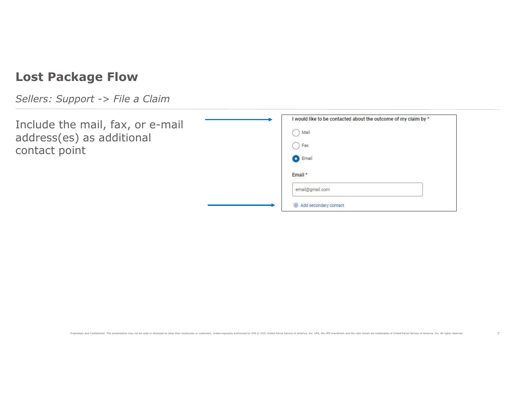Sellers: Support -> File a Claim

Include the mail, fax, or e-mail address(es) as additional contact point

|                                            | I would like to be contacted about the outcome of my claim by *                                                                                                                                                                |
|--------------------------------------------|--------------------------------------------------------------------------------------------------------------------------------------------------------------------------------------------------------------------------------|
| e mail, fax, or e-mail<br>s) as additional | ) Mail                                                                                                                                                                                                                         |
| int                                        | ) Fax                                                                                                                                                                                                                          |
|                                            | C Email                                                                                                                                                                                                                        |
|                                            | Email *                                                                                                                                                                                                                        |
|                                            | email@gmail.com                                                                                                                                                                                                                |
|                                            | $\oplus$ Add secondary contact                                                                                                                                                                                                 |
|                                            |                                                                                                                                                                                                                                |
|                                            |                                                                                                                                                                                                                                |
|                                            |                                                                                                                                                                                                                                |
|                                            |                                                                                                                                                                                                                                |
|                                            |                                                                                                                                                                                                                                |
|                                            |                                                                                                                                                                                                                                |
|                                            |                                                                                                                                                                                                                                |
|                                            |                                                                                                                                                                                                                                |
|                                            |                                                                                                                                                                                                                                |
|                                            | Proprietary and Confidential: This presentation may not be used or disclosed to other than employees or customers, unless expressly authorized by UPS.@ 2021 United Parcel Service of America, Inc. UPS, the UPS brandmark and |
|                                            |                                                                                                                                                                                                                                |
|                                            |                                                                                                                                                                                                                                |
|                                            |                                                                                                                                                                                                                                |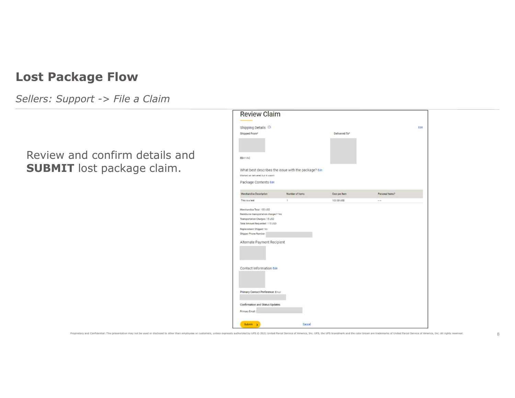Sellers: Support -> File a Claim

### Review and confirm details and SUBMIT lost package claim.

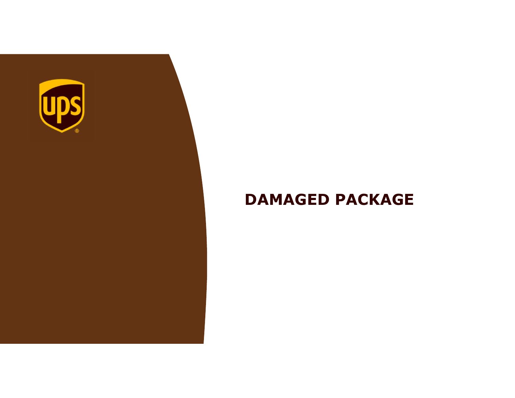

## DAMAGED PACKAGE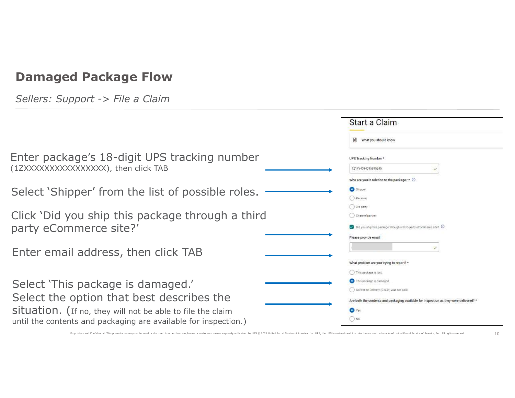| Sellers: Support -> File a Claim                                                                                                             |                                                                                                                                                                                   |
|----------------------------------------------------------------------------------------------------------------------------------------------|-----------------------------------------------------------------------------------------------------------------------------------------------------------------------------------|
|                                                                                                                                              | Start a Claim                                                                                                                                                                     |
|                                                                                                                                              | What you should know                                                                                                                                                              |
| Enter package's 18-digit UPS tracking number<br>(1ZXXXXXXXXXXXXXXX), then click TAB                                                          | UPS Tracking Number*<br>1Z14V4394315815245                                                                                                                                        |
| Select 'Shipper' from the list of possible roles.                                                                                            | Who are you in relation to the package? $*$ $\odot$<br><b>O</b> Shipper:<br>Receiver                                                                                              |
| Click 'Did you ship this package through a third<br>party eCommerce site?'                                                                   | 38d party<br>( ) Channel partner<br>Did you ship this package through a third-party eCommerce site?                                                                               |
| Enter email address, then click TAB                                                                                                          | Please provide email                                                                                                                                                              |
|                                                                                                                                              | What problem are you trying to report? "<br>This package is lost.                                                                                                                 |
| Select 'This package is damaged.'<br>Select the option that best describes the<br>Situation. (If no, they will not be able to file the claim | This peckage is damaged.<br>C Collect on Delivery (C.O.D.) was not paid.<br>Are both the contents and packaging available for inspection as they were delivered?<br>$\bullet$ Yes |
| until the contents and packaging are available for inspection.)                                                                              | $()$ No                                                                                                                                                                           |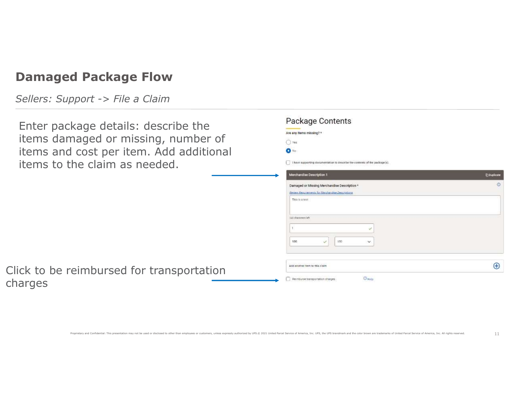Sellers: Support -> File a Claim

Click to be

charges

Enter package details: describe the items da items an items to

| () Yes<br>d cost per item. Add additional<br>$\bullet$ No<br>the claim as needed.<br>I have supporting documentation to describe the contents of the package(s).<br><b>E</b> Duplicate<br>Merchandise Description 1<br>$\odot$<br>Damaged or Missing Merchandise Description *<br>Review Requirements for Merchandise Descriptions<br>This is a rest<br><b>Diff characters laft</b><br>$950^{\circ}$<br>100<br>×.<br>$\mathcal{L}$<br>$\bigoplus$<br>Add another hem to this claim<br>reimbursed for transportation<br>$O$ Help<br>Remburse transportation charges | enage accanol accento che   | Are any items missing? * |    |
|--------------------------------------------------------------------------------------------------------------------------------------------------------------------------------------------------------------------------------------------------------------------------------------------------------------------------------------------------------------------------------------------------------------------------------------------------------------------------------------------------------------------------------------------------------------------|-----------------------------|--------------------------|----|
|                                                                                                                                                                                                                                                                                                                                                                                                                                                                                                                                                                    | maged or missing, number of |                          |    |
|                                                                                                                                                                                                                                                                                                                                                                                                                                                                                                                                                                    |                             |                          |    |
|                                                                                                                                                                                                                                                                                                                                                                                                                                                                                                                                                                    |                             |                          |    |
|                                                                                                                                                                                                                                                                                                                                                                                                                                                                                                                                                                    |                             |                          |    |
|                                                                                                                                                                                                                                                                                                                                                                                                                                                                                                                                                                    |                             |                          |    |
|                                                                                                                                                                                                                                                                                                                                                                                                                                                                                                                                                                    |                             |                          |    |
|                                                                                                                                                                                                                                                                                                                                                                                                                                                                                                                                                                    |                             |                          |    |
|                                                                                                                                                                                                                                                                                                                                                                                                                                                                                                                                                                    |                             |                          |    |
|                                                                                                                                                                                                                                                                                                                                                                                                                                                                                                                                                                    |                             |                          |    |
|                                                                                                                                                                                                                                                                                                                                                                                                                                                                                                                                                                    |                             |                          |    |
|                                                                                                                                                                                                                                                                                                                                                                                                                                                                                                                                                                    |                             |                          |    |
|                                                                                                                                                                                                                                                                                                                                                                                                                                                                                                                                                                    |                             |                          |    |
|                                                                                                                                                                                                                                                                                                                                                                                                                                                                                                                                                                    |                             |                          |    |
|                                                                                                                                                                                                                                                                                                                                                                                                                                                                                                                                                                    |                             |                          |    |
|                                                                                                                                                                                                                                                                                                                                                                                                                                                                                                                                                                    |                             |                          | 11 |
| Proprietary and Confidential: This presentation may not be used or disclosed to other than employees or customers, unless expressly authorized by UPS.@ 2021 United Parcel Service of America, Inc. UPS, the UPS brandmark and                                                                                                                                                                                                                                                                                                                                     |                             |                          |    |
|                                                                                                                                                                                                                                                                                                                                                                                                                                                                                                                                                                    |                             |                          |    |
|                                                                                                                                                                                                                                                                                                                                                                                                                                                                                                                                                                    |                             |                          |    |

Package Contents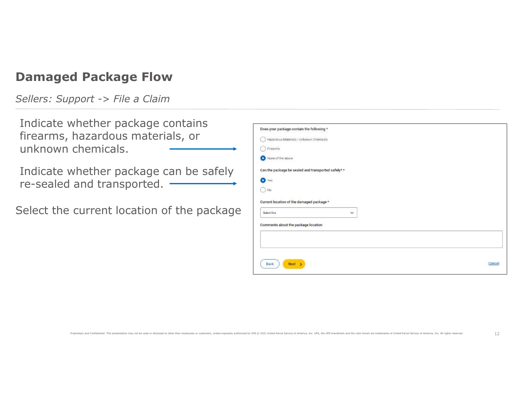Sellers: Support -> File a Claim

Indicate whether package contains firearms, hazardous materials, or unknown chemicals.

Indicate whether package can be safely re-sealed and transported.

Select the current location of the package

| viletilei packaye contaliis<br>hazardous materials, or<br>chemicals. | Does your package contain the following *<br>Hazardous Materials / Unknown Chemicals<br>( ) Firearms<br>None of the above                                                                                                      |        |
|----------------------------------------------------------------------|--------------------------------------------------------------------------------------------------------------------------------------------------------------------------------------------------------------------------------|--------|
| whether package can be safely<br>and transported. -                  | Can the package be sealed and transported safely? *<br>$\bullet$ Yes<br>$\bigcirc$ No                                                                                                                                          |        |
| current location of the package                                      | Current location of the damaged package *<br>Select One<br>$\checkmark$<br>Comments about the package location                                                                                                                 |        |
|                                                                      | <b>Back</b><br>Next                                                                                                                                                                                                            | Cancel |
|                                                                      | Proprietary and Confidential: This presentation may not be used or disclosed to other than employees or customers, unless expressly authorized by UPS.@ 2021 United Parcel Service of America, Inc. UPS, the UPS brandmark and | 12     |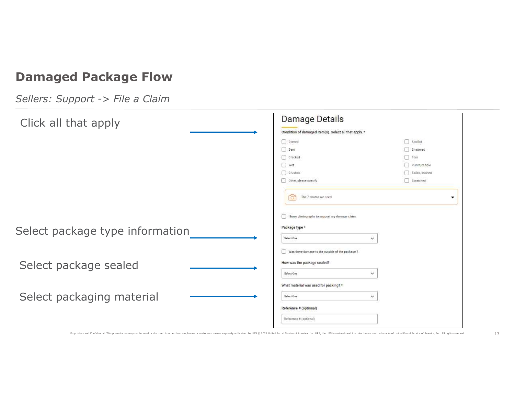| Click all that apply                                                                                                                                                                                                           | <b>Damage Details</b>                                  |                |
|--------------------------------------------------------------------------------------------------------------------------------------------------------------------------------------------------------------------------------|--------------------------------------------------------|----------------|
|                                                                                                                                                                                                                                | Condition of damaged item(s). Select all that apply. * |                |
|                                                                                                                                                                                                                                | Dented                                                 | Spoiled        |
|                                                                                                                                                                                                                                | $\Box$ Bent                                            | Shattered      |
|                                                                                                                                                                                                                                | Cracked                                                | $\Box$ Torn    |
|                                                                                                                                                                                                                                | $\Box$ Wet                                             | Puncture hole  |
|                                                                                                                                                                                                                                | Crushed                                                | Soiled/stained |
|                                                                                                                                                                                                                                | Dither, please specify                                 | Scratched      |
|                                                                                                                                                                                                                                | The 7 photos we need                                   |                |
|                                                                                                                                                                                                                                | I have photographs to support my damage claim.         |                |
|                                                                                                                                                                                                                                | Package type *                                         |                |
| Select package type information                                                                                                                                                                                                | Select One<br>$\checkmark$                             |                |
|                                                                                                                                                                                                                                | Was there damage to the outside of the package ?       |                |
| Select package sealed                                                                                                                                                                                                          | How was the package sealed?                            |                |
|                                                                                                                                                                                                                                | Select One<br>$\checkmark$                             |                |
|                                                                                                                                                                                                                                | What material was used for packing? *                  |                |
| Select packaging material                                                                                                                                                                                                      | Select One<br>$\checkmark$                             |                |
|                                                                                                                                                                                                                                | Reference # (optional)                                 |                |
|                                                                                                                                                                                                                                | Reference # (optional)                                 |                |
| Proprietary and Confidential: This presentation may not be used or disclosed to other than employees or customers, unless expressly authorized by UPS.@ 2021 United Parcel Service of America, Inc. UPS, the UPS brandmark and |                                                        |                |
|                                                                                                                                                                                                                                |                                                        |                |
|                                                                                                                                                                                                                                |                                                        |                |
|                                                                                                                                                                                                                                |                                                        |                |
|                                                                                                                                                                                                                                |                                                        |                |
|                                                                                                                                                                                                                                |                                                        |                |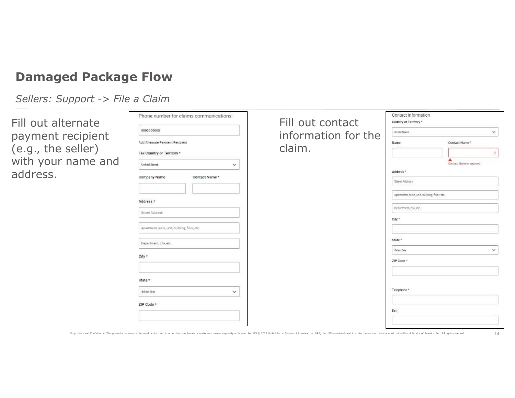Sellers: Support -> File a Claim

Fill out alternate payment recipient (e.g., the seller) with your name and address.

| rnate                                    | Phone number for claims communications:       | Fill out contact    | Contact Information<br>Country or Territory * |                               |
|------------------------------------------|-----------------------------------------------|---------------------|-----------------------------------------------|-------------------------------|
| ecipient                                 | 0000000000                                    | information for the | Unhad States                                  | $\checkmark$                  |
|                                          | Add Alternate Payment Recipient               |                     | Name                                          | Contact Name*                 |
| eller)                                   | Fax Country or Territory *                    | claim.              |                                               |                               |
| ame and                                  | <b>United States</b><br>$\checkmark$          |                     |                                               | A<br>Contact Name in required |
|                                          | Company Name<br>Contact Name*                 |                     | Address *                                     |                               |
|                                          |                                               |                     | Street Address                                |                               |
|                                          |                                               |                     | Apartment, suite, unit, building, floor, etc. |                               |
|                                          | Address *                                     |                     | Department, c/o, etc.                         |                               |
|                                          | Street Address                                |                     | City *                                        |                               |
|                                          | Apartment, suite, unit, building, floor, etc. |                     |                                               |                               |
|                                          |                                               |                     | State *                                       |                               |
|                                          | Department, c/o, etc.                         |                     | Select One                                    | $\checkmark$                  |
|                                          | City *                                        |                     | ZIP Code *                                    |                               |
|                                          |                                               |                     |                                               |                               |
|                                          | State *                                       |                     |                                               |                               |
| Select One<br>$\checkmark$<br>ZIP Code * |                                               | Telephone*          |                                               |                               |
|                                          |                                               |                     |                                               |                               |
|                                          |                                               | Ext.                |                                               |                               |
|                                          |                                               |                     |                                               |                               |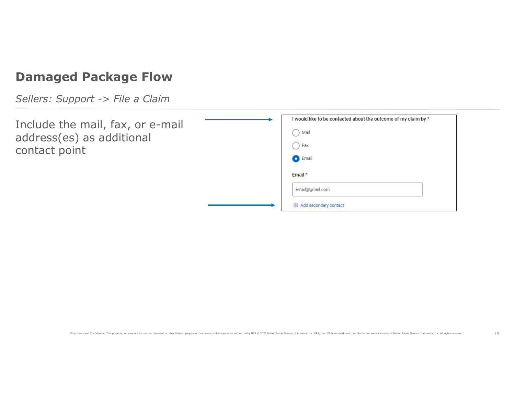Sellers: Support -> File a Claim

Include the mail, fax, or e-mail address(es) as additional contact point

| e mail, fax, or e-mail | I would like to be contacted about the outcome of my claim by *                                                                                                                                                                |    |
|------------------------|--------------------------------------------------------------------------------------------------------------------------------------------------------------------------------------------------------------------------------|----|
| s) as additional       | $\bigcap$ Mail                                                                                                                                                                                                                 |    |
| int                    | $\bigcap$ Fax                                                                                                                                                                                                                  |    |
|                        | C Email                                                                                                                                                                                                                        |    |
|                        | Email *                                                                                                                                                                                                                        |    |
|                        | email@gmail.com                                                                                                                                                                                                                |    |
|                        | Add secondary contact                                                                                                                                                                                                          |    |
|                        |                                                                                                                                                                                                                                |    |
|                        |                                                                                                                                                                                                                                |    |
|                        |                                                                                                                                                                                                                                |    |
|                        |                                                                                                                                                                                                                                |    |
|                        |                                                                                                                                                                                                                                |    |
|                        |                                                                                                                                                                                                                                |    |
|                        |                                                                                                                                                                                                                                |    |
|                        |                                                                                                                                                                                                                                |    |
|                        |                                                                                                                                                                                                                                |    |
|                        | Proprietary and Confidential: This presentation may not be used or disclosed to other than employees or customers, unless expressly authorized by UPS.© 2021 United Parcel Service of America, Inc. UPS, the UPS brandmark and | 15 |
|                        |                                                                                                                                                                                                                                |    |
|                        |                                                                                                                                                                                                                                |    |
|                        |                                                                                                                                                                                                                                |    |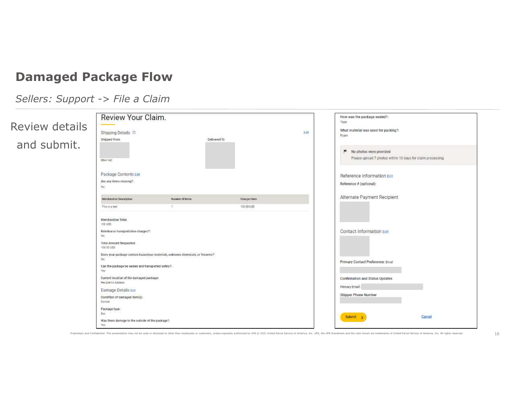